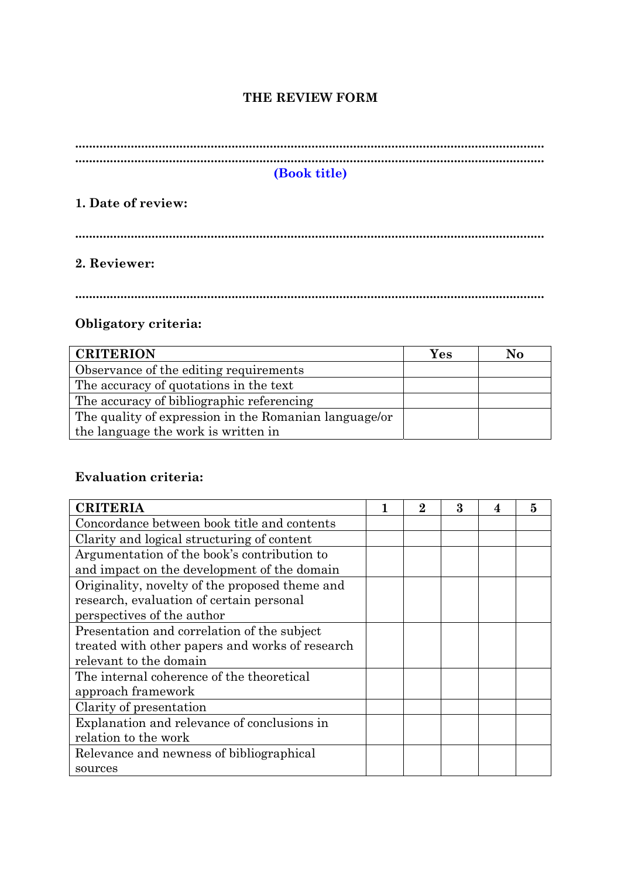### **THE REVIEW FORM**

| (Book title) |
|--------------|

### **1. Date of review:**

**.......................................................................................................................................** 

# **2. Reviewer:**

**.......................................................................................................................................** 

## **Obligatory criteria:**

| <b>CRITERION</b>                                      | Yes | No |
|-------------------------------------------------------|-----|----|
| Observance of the editing requirements                |     |    |
| The accuracy of quotations in the text                |     |    |
| The accuracy of bibliographic referencing             |     |    |
| The quality of expression in the Romanian language/or |     |    |
| the language the work is written in                   |     |    |

## **Evaluation criteria:**

| <b>CRITERIA</b>                                 | 2 | 3 | 4 | 5 |
|-------------------------------------------------|---|---|---|---|
| Concordance between book title and contents     |   |   |   |   |
| Clarity and logical structuring of content      |   |   |   |   |
| Argumentation of the book's contribution to     |   |   |   |   |
| and impact on the development of the domain     |   |   |   |   |
| Originality, novelty of the proposed theme and  |   |   |   |   |
| research, evaluation of certain personal        |   |   |   |   |
| perspectives of the author                      |   |   |   |   |
| Presentation and correlation of the subject     |   |   |   |   |
| treated with other papers and works of research |   |   |   |   |
| relevant to the domain                          |   |   |   |   |
| The internal coherence of the theoretical       |   |   |   |   |
| approach framework                              |   |   |   |   |
| Clarity of presentation                         |   |   |   |   |
| Explanation and relevance of conclusions in     |   |   |   |   |
| relation to the work                            |   |   |   |   |
| Relevance and newness of bibliographical        |   |   |   |   |
| sources                                         |   |   |   |   |